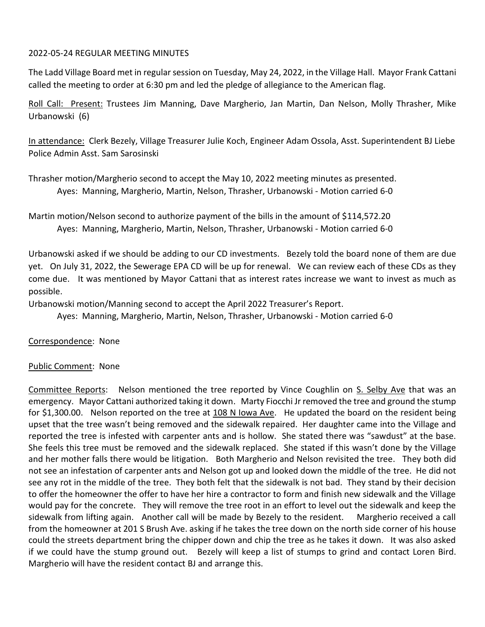### 2022-05-24 REGULAR MEETING MINUTES

The Ladd Village Board met in regular session on Tuesday, May 24, 2022, in the Village Hall. Mayor Frank Cattani called the meeting to order at 6:30 pm and led the pledge of allegiance to the American flag.

Roll Call: Present: Trustees Jim Manning, Dave Margherio, Jan Martin, Dan Nelson, Molly Thrasher, Mike Urbanowski (6)

In attendance: Clerk Bezely, Village Treasurer Julie Koch, Engineer Adam Ossola, Asst. Superintendent BJ Liebe Police Admin Asst. Sam Sarosinski

Thrasher motion/Margherio second to accept the May 10, 2022 meeting minutes as presented. Ayes: Manning, Margherio, Martin, Nelson, Thrasher, Urbanowski - Motion carried 6-0

Martin motion/Nelson second to authorize payment of the bills in the amount of \$114,572.20 Ayes: Manning, Margherio, Martin, Nelson, Thrasher, Urbanowski - Motion carried 6-0

Urbanowski asked if we should be adding to our CD investments. Bezely told the board none of them are due yet. On July 31, 2022, the Sewerage EPA CD will be up for renewal. We can review each of these CDs as they come due. It was mentioned by Mayor Cattani that as interest rates increase we want to invest as much as possible.

Urbanowski motion/Manning second to accept the April 2022 Treasurer's Report.

Ayes: Manning, Margherio, Martin, Nelson, Thrasher, Urbanowski - Motion carried 6-0

Correspondence: None

# Public Comment: None

Committee Reports: Nelson mentioned the tree reported by Vince Coughlin on S. Selby Ave that was an emergency. Mayor Cattani authorized taking it down. Marty Fiocchi Jr removed the tree and ground the stump for \$1,300.00. Nelson reported on the tree at 108 N Iowa Ave. He updated the board on the resident being upset that the tree wasn't being removed and the sidewalk repaired. Her daughter came into the Village and reported the tree is infested with carpenter ants and is hollow. She stated there was "sawdust" at the base. She feels this tree must be removed and the sidewalk replaced. She stated if this wasn't done by the Village and her mother falls there would be litigation. Both Margherio and Nelson revisited the tree. They both did not see an infestation of carpenter ants and Nelson got up and looked down the middle of the tree. He did not see any rot in the middle of the tree. They both felt that the sidewalk is not bad. They stand by their decision to offer the homeowner the offer to have her hire a contractor to form and finish new sidewalk and the Village would pay for the concrete. They will remove the tree root in an effort to level out the sidewalk and keep the sidewalk from lifting again. Another call will be made by Bezely to the resident. Margherio received a call from the homeowner at 201 S Brush Ave. asking if he takes the tree down on the north side corner of his house could the streets department bring the chipper down and chip the tree as he takes it down. It was also asked if we could have the stump ground out. Bezely will keep a list of stumps to grind and contact Loren Bird. Margherio will have the resident contact BJ and arrange this.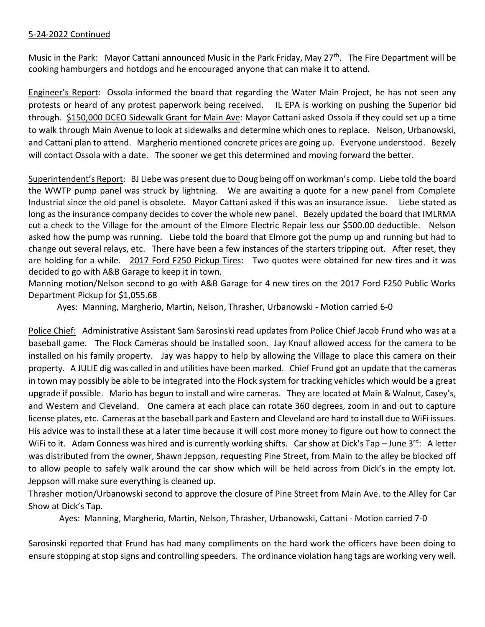# 5-24-2022 Continued

Music in the Park: Mayor Cattani announced Music in the Park Friday, May 27<sup>th</sup>. The Fire Department will be cooking hamburgers and hotdogs and he encouraged anyone that can make it to attend.

Engineer's Report: Ossola informed the board that regarding the Water Main Project, he has not seen any protests or heard of any protest paperwork being received. IL EPA is working on pushing the Superior bid through. \$150,000 DCEO Sidewalk Grant for Main Ave: Mayor Cattani asked Ossola if they could set up a time to walk through Main Avenue to look at sidewalks and determine which ones to replace. Nelson, Urbanowski, and Cattani plan to attend. Margherio mentioned concrete prices are going up. Everyone understood. Bezely will contact Ossola with a date. The sooner we get this determined and moving forward the better.

Superintendent's Report: BJ Liebe was present due to Doug being off on workman's comp. Liebe told the board the WWTP pump panel was struck by lightning. We are awaiting a quote for a new panel from Complete Industrial since the old panel is obsolete. Mayor Cattani asked if this was an insurance issue. Liebe stated as long as the insurance company decides to cover the whole new panel. Bezely updated the board that IMLRMA cut a check to the Village for the amount of the Elmore Electric Repair less our \$500.00 deductible. Nelson asked how the pump was running. Liebe told the board that Elmore got the pump up and running but had to change out several relays, etc. There have been a few instances of the starters tripping out. After reset, they are holding for a while. 2017 Ford F250 Pickup Tires: Two quotes were obtained for new tires and it was decided to go with A&B Garage to keep it in town.

Manning motion/Nelson second to go with A&B Garage for 4 new tires on the 2017 Ford F250 Public Works Department Pickup for \$1,055.68

Ayes: Manning, Margherio, Martin, Nelson, Thrasher, Urbanowski - Motion carried 6-0

Police Chief: Administrative Assistant Sam Sarosinski read updates from Police Chief Jacob Frund who was at a baseball game. The Flock Cameras should be installed soon. Jay Knauf allowed access for the camera to be installed on his family property. Jay was happy to help by allowing the Village to place this camera on their property. A JULIE dig was called in and utilities have been marked. Chief Frund got an update that the cameras in town may possibly be able to be integrated into the Flock system for tracking vehicles which would be a great upgrade if possible. Mario has begun to install and wire cameras. They are located at Main & Walnut, Casey's, and Western and Cleveland. One camera at each place can rotate 360 degrees, zoom in and out to capture license plates, etc. Cameras at the baseball park and Eastern and Cleveland are hard to install due to WiFi issues. His advice was to install these at a later time because it will cost more money to figure out how to connect the WiFi to it. Adam Conness was hired and is currently working shifts. Car show at Dick's Tap - June 3rd: A letter was distributed from the owner, Shawn Jeppson, requesting Pine Street, from Main to the alley be blocked off to allow people to safely walk around the car show which will be held across from Dick's in the empty lot. Jeppson will make sure everything is cleaned up.

Thrasher motion/Urbanowski second to approve the closure of Pine Street from Main Ave. to the Alley for Car Show at Dick's Tap.

Ayes: Manning, Margherio, Martin, Nelson, Thrasher, Urbanowski, Cattani - Motion carried 7-0

Sarosinski reported that Frund has had many compliments on the hard work the officers have been doing to ensure stopping at stop signs and controlling speeders. The ordinance violation hang tags are working very well.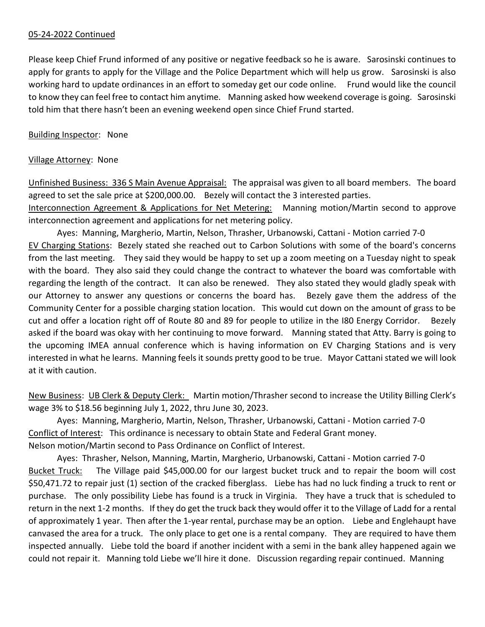## 05-24-2022 Continued

Please keep Chief Frund informed of any positive or negative feedback so he is aware. Sarosinski continues to apply for grants to apply for the Village and the Police Department which will help us grow. Sarosinski is also working hard to update ordinances in an effort to someday get our code online. Frund would like the council to know they can feel free to contact him anytime. Manning asked how weekend coverage is going. Sarosinski told him that there hasn't been an evening weekend open since Chief Frund started.

#### Building Inspector: None

#### Village Attorney: None

Unfinished Business: 336 S Main Avenue Appraisal: The appraisal was given to all board members. The board agreed to set the sale price at \$200,000.00. Bezely will contact the 3 interested parties.

Interconnection Agreement & Applications for Net Metering: Manning motion/Martin second to approve interconnection agreement and applications for net metering policy.

Ayes: Manning, Margherio, Martin, Nelson, Thrasher, Urbanowski, Cattani - Motion carried 7-0 EV Charging Stations: Bezely stated she reached out to Carbon Solutions with some of the board's concerns from the last meeting. They said they would be happy to set up a zoom meeting on a Tuesday night to speak with the board. They also said they could change the contract to whatever the board was comfortable with regarding the length of the contract. It can also be renewed. They also stated they would gladly speak with our Attorney to answer any questions or concerns the board has. Bezely gave them the address of the Community Center for a possible charging station location. This would cut down on the amount of grass to be cut and offer a location right off of Route 80 and 89 for people to utilize in the I80 Energy Corridor. Bezely asked if the board was okay with her continuing to move forward. Manning stated that Atty. Barry is going to the upcoming IMEA annual conference which is having information on EV Charging Stations and is very interested in what he learns. Manning feels it sounds pretty good to be true. Mayor Cattani stated we will look at it with caution.

New Business: UB Clerk & Deputy Clerk: Martin motion/Thrasher second to increase the Utility Billing Clerk's wage 3% to \$18.56 beginning July 1, 2022, thru June 30, 2023.

Ayes: Manning, Margherio, Martin, Nelson, Thrasher, Urbanowski, Cattani - Motion carried 7-0 Conflict of Interest: This ordinance is necessary to obtain State and Federal Grant money. Nelson motion/Martin second to Pass Ordinance on Conflict of Interest.

Ayes: Thrasher, Nelson, Manning, Martin, Margherio, Urbanowski, Cattani - Motion carried 7-0 Bucket Truck: The Village paid \$45,000.00 for our largest bucket truck and to repair the boom will cost \$50,471.72 to repair just (1) section of the cracked fiberglass. Liebe has had no luck finding a truck to rent or purchase. The only possibility Liebe has found is a truck in Virginia. They have a truck that is scheduled to return in the next 1-2 months. If they do get the truck back they would offer it to the Village of Ladd for a rental of approximately 1 year. Then after the 1-year rental, purchase may be an option. Liebe and Englehaupt have canvased the area for a truck. The only place to get one is a rental company. They are required to have them inspected annually. Liebe told the board if another incident with a semi in the bank alley happened again we could not repair it. Manning told Liebe we'll hire it done. Discussion regarding repair continued. Manning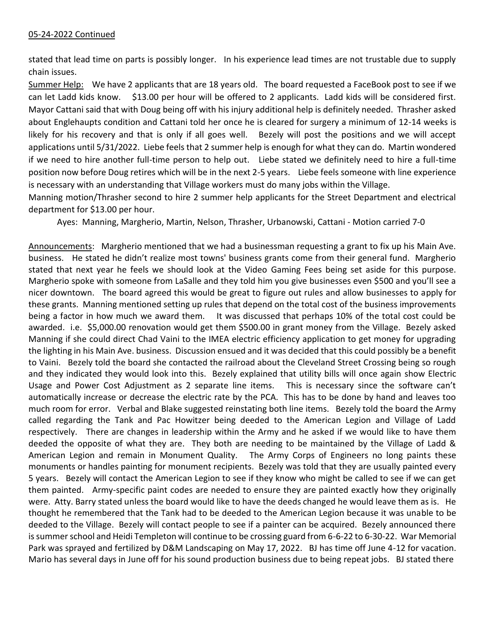# 05-24-2022 Continued

stated that lead time on parts is possibly longer. In his experience lead times are not trustable due to supply chain issues.

Summer Help: We have 2 applicants that are 18 years old. The board requested a FaceBook post to see if we can let Ladd kids know. \$13.00 per hour will be offered to 2 applicants. Ladd kids will be considered first. Mayor Cattani said that with Doug being off with his injury additional help is definitely needed. Thrasher asked about Englehaupts condition and Cattani told her once he is cleared for surgery a minimum of 12-14 weeks is likely for his recovery and that is only if all goes well. Bezely will post the positions and we will accept applications until 5/31/2022. Liebe feels that 2 summer help is enough for what they can do. Martin wondered if we need to hire another full-time person to help out. Liebe stated we definitely need to hire a full-time position now before Doug retires which will be in the next 2-5 years. Liebe feels someone with line experience is necessary with an understanding that Village workers must do many jobs within the Village.

Manning motion/Thrasher second to hire 2 summer help applicants for the Street Department and electrical department for \$13.00 per hour.

Ayes: Manning, Margherio, Martin, Nelson, Thrasher, Urbanowski, Cattani - Motion carried 7-0

Announcements: Margherio mentioned that we had a businessman requesting a grant to fix up his Main Ave. business. He stated he didn't realize most towns' business grants come from their general fund. Margherio stated that next year he feels we should look at the Video Gaming Fees being set aside for this purpose. Margherio spoke with someone from LaSalle and they told him you give businesses even \$500 and you'll see a nicer downtown. The board agreed this would be great to figure out rules and allow businesses to apply for these grants. Manning mentioned setting up rules that depend on the total cost of the business improvements being a factor in how much we award them. It was discussed that perhaps 10% of the total cost could be awarded. i.e. \$5,000.00 renovation would get them \$500.00 in grant money from the Village. Bezely asked Manning if she could direct Chad Vaini to the IMEA electric efficiency application to get money for upgrading the lighting in his Main Ave. business. Discussion ensued and it was decided that this could possibly be a benefit to Vaini. Bezely told the board she contacted the railroad about the Cleveland Street Crossing being so rough and they indicated they would look into this. Bezely explained that utility bills will once again show Electric Usage and Power Cost Adjustment as 2 separate line items. This is necessary since the software can't automatically increase or decrease the electric rate by the PCA. This has to be done by hand and leaves too much room for error. Verbal and Blake suggested reinstating both line items. Bezely told the board the Army called regarding the Tank and Pac Howitzer being deeded to the American Legion and Village of Ladd respectively. There are changes in leadership within the Army and he asked if we would like to have them deeded the opposite of what they are. They both are needing to be maintained by the Village of Ladd & American Legion and remain in Monument Quality. The Army Corps of Engineers no long paints these monuments or handles painting for monument recipients. Bezely was told that they are usually painted every 5 years. Bezely will contact the American Legion to see if they know who might be called to see if we can get them painted. Army-specific paint codes are needed to ensure they are painted exactly how they originally were. Atty. Barry stated unless the board would like to have the deeds changed he would leave them as is. He thought he remembered that the Tank had to be deeded to the American Legion because it was unable to be deeded to the Village. Bezely will contact people to see if a painter can be acquired. Bezely announced there is summer school and Heidi Templeton will continue to be crossing guard from 6-6-22 to 6-30-22. War Memorial Park was sprayed and fertilized by D&M Landscaping on May 17, 2022. BJ has time off June 4-12 for vacation. Mario has several days in June off for his sound production business due to being repeat jobs. BJ stated there